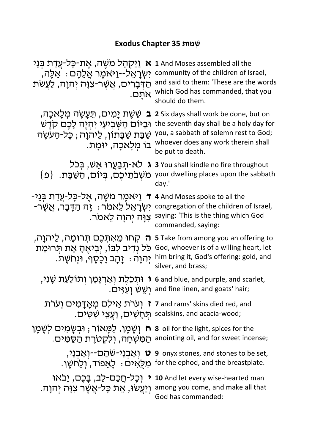## **תוֹמְשׁ 35 Chapter Exodus**

| <u>וַיַּקְהֶל מֹשֶׁה, אֱת-כָּל-עֲדַת בְּנֵי</u><br>N,<br>יִשְׂרָאֵל--וַיּאמֵר אֲלֶהֶם : אֵלֶה,<br>ְהַדְּבָרִים, אֲשֶׁר-צְוָּה יְהוַה, לַעֲשֹׁת<br>אתַם.       | 1 And Moses assembled all the<br>community of the children of Israel,<br>and said to them: 'These are the words<br>which God has commanded, that you<br>should do them.              |
|---------------------------------------------------------------------------------------------------------------------------------------------------------------|--------------------------------------------------------------------------------------------------------------------------------------------------------------------------------------|
| ְשֵׁשֶׁת יָמִים, תֵּעֲשֶׂה מִלָּאכָה,<br>וּבַיּוֹם הַשְּׁבִיעִי יִהְיֵה לָכֶם קִדֵּשׁ<br>ּשַׁבַּת שַׁבָּתוֹן, לַיהוָה ; כָּל-הָעֹשֵׂה<br>בו מְלָאכָה, יוּמָת. | 2 Six days shall work be done, but on<br>the seventh day shall be a holy day for<br>you, a sabbath of solemn rest to God;<br>whoever does any work therein shall<br>be put to death. |
| ג לא-תִבַעֲרוּ אֵשׁ, בִּכל<br>משְׁבֹתֵיכֶם, בְּיוֹם, הַשַּׁבָּת. {פ                                                                                           | 3 You shall kindle no fire throughout<br>your dwelling places upon the sabbath<br>day.'                                                                                              |
| ַיַּאמֶר מֹשֶׁה, אֶל-כָּל-עֲדַת בְּנֵי<br>$\mathcal{L}$<br>יִשְׂרָאֵלֹ לֵאמֹר ִּי זֶה הַדָּבָר, אֲשֶׁר-<br>צוַה יִהוַה לֵאמר.                                 | 4 And Moses spoke to all the<br>congregation of the children of Israel,<br>saying: 'This is the thing which God<br>commanded, saying:                                                |
| <del>ה קָחוּ מֵאתְכֶם תְּרוּמָה, לַיהוָה,</del><br>כּל נְדִיב לִבּוֹ, יְבִיאֶהָ אֵת תְּרוּמַת<br>יְהוָה ּ זָהָב וָכֵסֵף, וּנְחֹשֵׁת.                          | 5 Take from among you an offering to<br>God, whoever is of a willing heart, let<br>him bring it, God's offering: gold, and<br>silver, and brass;                                     |
| וּתִכְלֵת וְאַרְגָּמָן וְתוֹלַעַת שָׁנִי,<br>ָוְשֶׁשׁ וְעִזִּים.                                                                                              | 6 and blue, and purple, and scarlet,<br>and fine linen, and goats' hair;                                                                                                             |
| <b>וערת אֵילָם מִאָדָּמִים וְעֹרֹת ז</b> 7 and rams' skins died red, and                                                                                      | ּתְחָשִׁיּם, realskins, and acacia-wood;                                                                                                                                             |
| יִשְׁמֵן, לַמֲּאוֹר ; וּבְשָׂמים לְשֶׁמֶן a s oil for the light, spices for the                                                                               | :anointing oil, and for sweet incense הַמְּשְׁחָה, וְלִקְטֹרֵת הַסַּמִים.                                                                                                            |
|                                                                                                                                                               | יִאֲבְנֵי-שֹׁהַם--וְאֲבְנֵי, ט 9 onyx stones, and stones to be set,<br>. לְאֵפוֹד, וְלַחֹשֵׁן for the ephod, and the breastplate.                                                    |
| ּוְיַעֲשׂוּ, אֵת כָּל-אֲשֶׁר צִוָּה יִהוָה.                                                                                                                   | o And let every wise-hearted man ( וְכָל-חֲכַם-לֵב, בָּכֶם, יָבאו<br>among you come, and make all that<br>God has commanded:                                                         |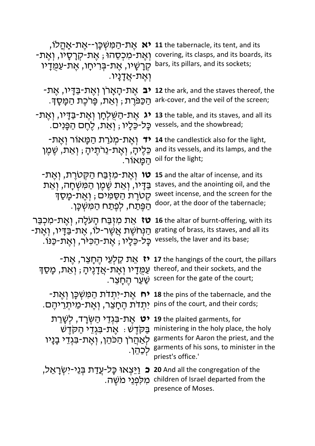| <b>יא</b> אֵת-הַמִּשִּׁכָּן--אֵת-אָהָלוֹ,<br>ּוְאֵת-מִכְסֵהוּ ; אֵת-קִרָסָיו, וְאֵת-<br>קְרָשָׁיו, אֵת-בִּרִיחָו, אֵת-עַמַּדָיו<br>וְאֵת-אֲדָנַיו.                 | 11 the tabernacle, its tent, and its<br>covering, its clasps, and its boards, its<br>bars, its pillars, and its sockets;                                                                                                           |
|--------------------------------------------------------------------------------------------------------------------------------------------------------------------|------------------------------------------------------------------------------------------------------------------------------------------------------------------------------------------------------------------------------------|
| ּהַכַּפּרֵת ; וְאֵת, פָּרכֶת הַמָּסָךָ.                                                                                                                            | -בַּדָיו, אֻת־La the ark, and the staves thereof, the יבּ אֲת־בַּדָיו, אֵת<br>ark-cover, and the veil of the screen;                                                                                                               |
| :vessels, and the showbread; כָּל-כֵּלָיוּ ; וְאֵת, לֵחֵם הַפָּנִים.                                                                                               | יר, יְאֶת-בַּדָיו, יְאֶת-בַדָּיו, יָאֱת-הַשֶּׁלְחָן וְאֶת-בַּדָּיו, יְאֶת-                                                                                                                                                         |
| <b>יד</b> וְאֵת-מִנֹרַת הַמָּאוֹר וְאֵת-<br>כֵּלֵיהָ, וְאֵת-נֵרֹתֵיהָ ; וְאֵת, שֵׁמֵן<br>ּהַמַּאוֹר.                                                               | 14 the candlestick also for the light,<br>and its vessels, and its lamps, and the<br>oil for the light;                                                                                                                            |
| <b>טו</b> וְאֵת-מְזָבַּח הַקְּטֹרֶת, וְאֵת-<br>ַבַּדָּיו, וְאֵת שֶׁמֶן הַמְּשְׁחָה, וְאֵת<br>קְטְרֵת הַסַּמִּים ; וְאֵת-מָסַךְ<br>ְהַפֵּתַח, לְפֵתַח הַמְּשִׁכָּן. | 15 and the altar of incense, and its<br>staves, and the anointing oil, and the<br>sweet incense, and the screen for the<br>door, at the door of the tabernacle;                                                                    |
| <b>טז</b> אֵת מִזְבַּח הָעלָה, וְאֵת-מִכְבַּר<br>ּהַנְּחֹשֵׁת אֲשֶׁר-לוֹ, אֱת-בַּדָּיוֹ, וְאֵת-<br>ַכָּל-כֶּלָיו ; אֵת-הַכִּיּר, וְאֵת-כַּנּוֹ.                    | <b>16</b> the altar of burnt-offering, with its<br>grating of brass, its staves, and all its<br>vessels, the laver and its base;                                                                                                   |
| <b>יז</b> אֵת קַלְעֵי הֵחָצֵר, אֵת-<br>עַמֻּדָיו וְאֶת-אֲדָנֶיהָ ; וְאֵת, מָסַךְ                                                                                   | 17 the hangings of the court, the pillars<br>thereof, and their sockets, and the<br>screen for the gate of the court; שַׁעֲר הֵחֲצֵר.                                                                                              |
| ּיתָדת הֵחָצֵר, וְאֶת-מֵיתְרֵיהֶם. pins of the court, and their cords;                                                                                             | <b>רח אַת־ירִנדרנ הַמַּשְׁכָּן וְאֵת־</b> -מָ <b>לוֹ 18</b> the pins of the tabernacle, and the                                                                                                                                    |
| <b>ַיט</b> אֱת-בִּגְדֵי הַשְּׂרַד, לִשֲרֻת<br>ַלְאַהֲרֹן הַכּהֵן, וְאֵת-בִּגְדֵי בָנָיו                                                                            | 19 the plaited garments, for<br>ministering in the holy place, the holy בַּקְדֵשׁ : אֱת-בִּגְדֵי הַקְדֵשׁ<br>garments for Aaron the priest, and the<br>-<br>garments of his sons, to minister in the לְכַהֵן.<br>priest's office.' |
| ובּ 20 And all the congregation of the בּ וַיֵּצְאוּ כָּל-עֲדַת בִּנֵי-יִשְׂרָאֵל,                                                                                 | children of Israel departed from the מְלִפְנֵי מֹשֶׁה.<br>presence of Moses.                                                                                                                                                       |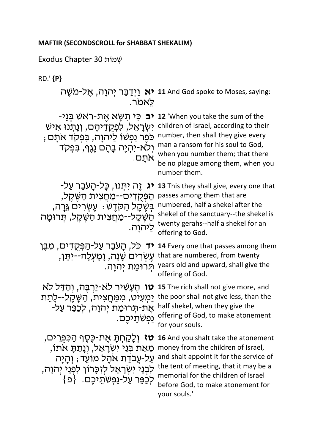תוֹמְשׁ 30 Chapter Exodus

RD.' **{P}**

.רֹמאֵלּ

; בִּפְקֹד אתָם number, then shall they give every ֿוְלֹא-יִהְיֶה בָהֶם נֶגֶף, בִּפְקֹד .םָתֹא

הַפְּקְדִים--מַחֲצִית הַשֶּׁקֶל, passes among them that are ְּהַשֶּׁקֵל--מַחֲצִית הַשֶּׁקֵל, תִּרוּמָה ליהוה.

**דים, מִבֶּן <b>14** Every one that passes among them

**וּטֵ א**ַל לַא־יַרְבֶּה, וְהַדַּל לֹא **15** The rich shall not give more, and the poor shall not give less, thai יַמְעִיֹּט, מִמַּחֲצִית, הַשָּׁקֶל--לָתֵת<br>אֶת-תְּרוּמַת יְהוָה, לְכַמֵּר עַל- half shekel, when they give the

**זט ג**ּלְקַחְתָּ אֶת-כֶּסֶף הַכִּפְרִים, **16** And you shalt take the atonement ְמֶאֵת בִּנֵי יִשְׂרָאֵל, וְנָתַתָּ אִתוֹ, לִבְנֵי יִשְׂרָאֵל לְזִכָּרוֹן לִפְנֵי יְהוָה, לְכַׁפֵּר עַל-נַפְשֹׁתֵיכֶם. {פ

**אַל-מִשֶּׁה <b>11** And God spoke to Moses, saying:

**בִ כִּי תִשְּׂא אֶת-ראשׁ בְּנֵי- <b>12** 'When you take the sum of the יִשְׂרָאֵל, לִפְקָדֵיהֶם, וְנָתְנוּ אִישׁ children of Israel, according to their man a ransom for his soul to God, when you number them; that there be no plague among them, when you number them.

**ג יְהְנוּ, כָּל-הָעִבֵר עַל- <b>13** This they shall give, every one that ּתְּדֶשָּׁ : עֶשְׂרִים גֵּרָה, numbered, half a shekel after the shekel of the sanctuary--the shekel is twenty gerahs--half a shekel for an offering to God.

יְתֵּן, וָמָעְלָהֹ--יִתֵּן, that are numbered, from twenty ּתְרוּמַת יְהוָה. years old and upward, shall give the offering of God.

.םֶכיֵתֹשְׁפַנ offering of God, to make atonement <u>ֿמְעִיט, מְמַחֲ</u>צִית, הַשֵּׁקֵל--לַחֵת the poor shall not give less, than the for your souls.

על-עֲבֹדַת אֹהֶל מוֹעֵד; וְהָיָה and shalt appoint it for the service of money from the children of Israel, the tent of meeting, that it may be a memorial for the children of Israel before God, to make atonement for your souls.'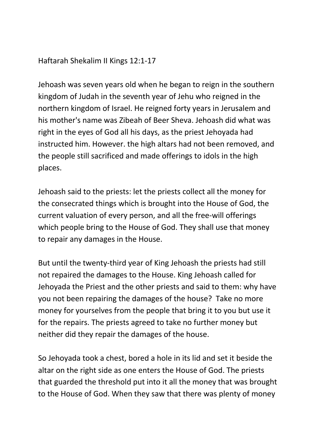Haftarah Shekalim II Kings 12:1-17

Jehoash was seven years old when he began to reign in the southern kingdom of Judah in the seventh year of Jehu who reigned in the northern kingdom of Israel. He reigned forty years in Jerusalem and his mother's name was Zibeah of Beer Sheva. Jehoash did what was right in the eyes of God all his days, as the priest Jehoyada had instructed him. However. the high altars had not been removed, and the people still sacrificed and made offerings to idols in the high places.

Jehoash said to the priests: let the priests collect all the money for the consecrated things which is brought into the House of God, the current valuation of every person, and all the free-will offerings which people bring to the House of God. They shall use that money to repair any damages in the House.

But until the twenty-third year of King Jehoash the priests had still not repaired the damages to the House. King Jehoash called for Jehoyada the Priest and the other priests and said to them: why have you not been repairing the damages of the house? Take no more money for yourselves from the people that bring it to you but use it for the repairs. The priests agreed to take no further money but neither did they repair the damages of the house.

So Jehoyada took a chest, bored a hole in its lid and set it beside the altar on the right side as one enters the House of God. The priests that guarded the threshold put into it all the money that was brought to the House of God. When they saw that there was plenty of money